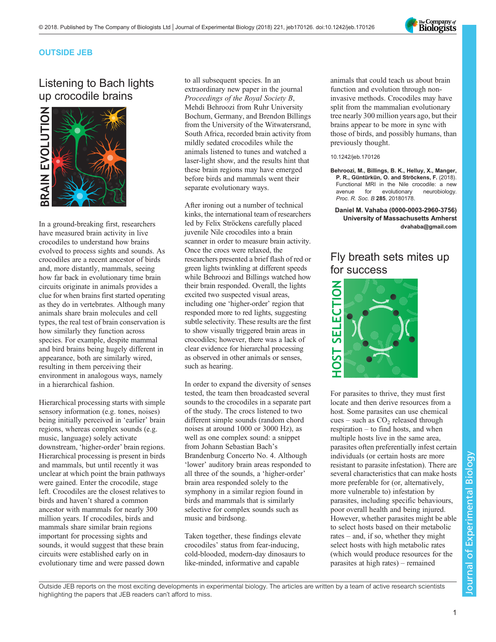

### OUTSIDE JEB

# Listening to Bach lights up crocodile brains



In a ground-breaking first, researchers have measured brain activity in live crocodiles to understand how brains evolved to process sights and sounds. As crocodiles are a recent ancestor of birds and, more distantly, mammals, seeing how far back in evolutionary time brain circuits originate in animals provides a clue for when brains first started operating as they do in vertebrates. Although many animals share brain molecules and cell types, the real test of brain conservation is how similarly they function across species. For example, despite mammal and bird brains being hugely different in appearance, both are similarly wired, resulting in them perceiving their environment in analogous ways, namely in a hierarchical fashion.

Hierarchical processing starts with simple sensory information (e.g. tones, noises) being initially perceived in 'earlier' brain regions, whereas complex sounds (e.g. music, language) solely activate downstream, 'higher-order' brain regions. Hierarchical processing is present in birds and mammals, but until recently it was unclear at which point the brain pathways were gained. Enter the crocodile, stage left. Crocodiles are the closest relatives to birds and haven't shared a common ancestor with mammals for nearly 300 million years. If crocodiles, birds and mammals share similar brain regions important for processing sights and sounds, it would suggest that these brain circuits were established early on in evolutionary time and were passed down

to all subsequent species. In an extraordinary new paper in the journal Proceedings of the Royal Society B, Mehdi Behroozi from Ruhr University Bochum, Germany, and Brendon Billings from the University of the Witwatersrand, South Africa, recorded brain activity from mildly sedated crocodiles while the animals listened to tunes and watched a laser-light show, and the results hint that these brain regions may have emerged before birds and mammals went their separate evolutionary ways.

After ironing out a number of technical kinks, the international team of researchers led by Felix Ströckens carefully placed juvenile Nile crocodiles into a brain scanner in order to measure brain activity. Once the crocs were relaxed, the researchers presented a brief flash of red or green lights twinkling at different speeds while Behroozi and Billings watched how their brain responded. Overall, the lights excited two suspected visual areas, including one 'higher-order' region that responded more to red lights, suggesting subtle selectivity. These results are the first to show visually triggered brain areas in crocodiles; however, there was a lack of clear evidence for hierarchal processing as observed in other animals or senses, such as hearing.

In order to expand the diversity of senses tested, the team then broadcasted several sounds to the crocodiles in a separate part of the study. The crocs listened to two different simple sounds (random chord noises at around 1000 or 3000 Hz), as well as one complex sound: a snippet from Johann Sebastian Bach's Brandenburg Concerto No. 4. Although 'lower' auditory brain areas responded to all three of the sounds, a 'higher-order' brain area responded solely to the symphony in a similar region found in birds and mammals that is similarly selective for complex sounds such as music and birdsong.

Taken together, these findings elevate crocodiles' status from fear-inducing, cold-blooded, modern-day dinosaurs to like-minded, informative and capable

animals that could teach us about brain function and evolution through noninvasive methods. Crocodiles may have split from the mammalian evolutionary tree nearly 300 million years ago, but their brains appear to be more in sync with those of birds, and possibly humans, than previously thought.

#### 10.1242/jeb.170126

[Behroozi, M., Billings, B. K., Helluy, X., Manger,](http://dx.doi.org/10.1098/rspb.2018.0178) P. R., Güntürkün, O. and Ströckens, F. (2018). [Functional MRI in the Nile crocodile: a new](http://dx.doi.org/10.1098/rspb.2018.0178)<br>avenue for evolutionary neurobiology. avenue for evolutionary [Proc. R. Soc. B](http://dx.doi.org/10.1098/rspb.2018.0178) 285, 20180178.

Daniel M. Vahaba [\(0000-0003-2960-3756](http://orcid.org/0000-0003-2960-3756)) University of Massachusetts Amherst [dvahaba@gmail.com](mailto:dvahaba@gmail.com)

# Fly breath sets mites up for success



For parasites to thrive, they must first locate and then derive resources from a host. Some parasites can use chemical cues – such as  $CO<sub>2</sub>$  released through respiration – to find hosts, and when multiple hosts live in the same area, parasites often preferentially infest certain individuals (or certain hosts are more resistant to parasite infestation). There are several characteristics that can make hosts more preferable for (or, alternatively, more vulnerable to) infestation by parasites, including specific behaviours, poor overall health and being injured. However, whether parasites might be able to select hosts based on their metabolic rates – and, if so, whether they might select hosts with high metabolic rates (which would produce resources for the parasites at high rates) – remained

Outside JEB reports on the most exciting developments in experimental biology. The articles are written by a team of active research scientists highlighting the papers that JEB readers can't afford to miss.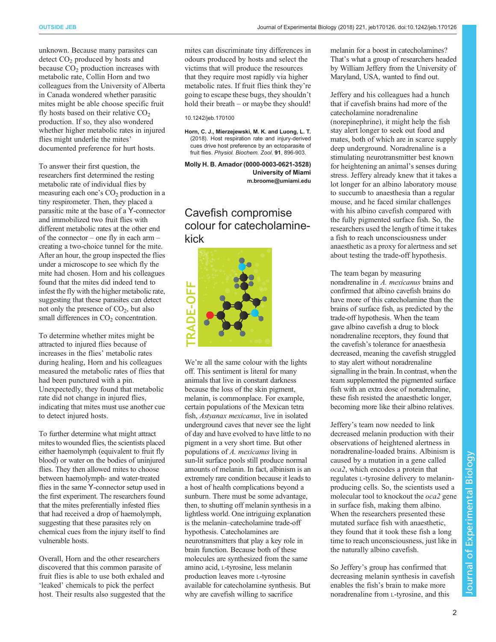unknown. Because many parasites can detect  $CO<sub>2</sub>$  produced by hosts and because  $CO<sub>2</sub>$  production increases with metabolic rate, Collin Horn and two colleagues from the University of Alberta in Canada wondered whether parasitic mites might be able choose specific fruit fly hosts based on their relative  $CO<sub>2</sub>$ production. If so, they also wondered whether higher metabolic rates in injured flies might underlie the mites' documented preference for hurt hosts.

To answer their first question, the researchers first determined the resting metabolic rate of individual flies by measuring each one's  $CO<sub>2</sub>$  production in a tiny respirometer. Then, they placed a parasitic mite at the base of a Y-connector and immobilized two fruit flies with different metabolic rates at the other end of the connector – one fly in each arm – creating a two-choice tunnel for the mite. After an hour, the group inspected the flies under a microscope to see which fly the mite had chosen. Horn and his colleagues found that the mites did indeed tend to infest the fly with the higher metabolic rate, suggesting that these parasites can detect not only the presence of  $CO<sub>2</sub>$ , but also small differences in  $CO<sub>2</sub>$  concentration.

To determine whether mites might be attracted to injured flies because of increases in the flies' metabolic rates during healing, Horn and his colleagues measured the metabolic rates of flies that had been punctured with a pin. Unexpectedly, they found that metabolic rate did not change in injured flies, indicating that mites must use another cue to detect injured hosts.

To further determine what might attract mites to wounded flies, the scientists placed either haemolymph (equivalent to fruit fly blood) or water on the bodies of uninjured flies. They then allowed mites to choose between haemolymph- and water-treated flies in the same Y-connector setup used in the first experiment. The researchers found that the mites preferentially infested flies that had received a drop of haemolymph, suggesting that these parasites rely on chemical cues from the injury itself to find vulnerable hosts.

Overall, Horn and the other researchers discovered that this common parasite of fruit flies is able to use both exhaled and 'leaked' chemicals to pick the perfect host. Their results also suggested that the mites can discriminate tiny differences in odours produced by hosts and select the victims that will produce the resources that they require most rapidly via higher metabolic rates. If fruit flies think they're going to escape these bugs, they shouldn't hold their breath – or maybe they should!

#### 10.1242/jeb.170100

[Horn, C. J., Mierzejewski, M. K. and Luong, L. T.](https://doi.org/10.1086/697466) [\(2018\). Host respiration rate and injury-derived](https://doi.org/10.1086/697466) [cues drive host preference by an ectoparasite of](https://doi.org/10.1086/697466) fruit flies. [Physiol. Biochem. Zool.](https://doi.org/10.1086/697466) 91, 896-903.

Molly H. B. Amador [\(0000-0003-0621-3528](http://orcid.org/0000-0003-0621-3528)) University of Miami [m.broome@umiami.edu](mailto:m.broome@umiami.edu)

## Cavefish compromise colour for catecholaminekick



We're all the same colour with the lights off. This sentiment is literal for many animals that live in constant darkness because the loss of the skin pigment, melanin, is commonplace. For example, certain populations of the Mexican tetra fish, Astyanax mexicanus, live in isolated underground caves that never see the light of day and have evolved to have little to no pigment in a very short time. But other populations of A. mexicanus living in sun-lit surface pools still produce normal amounts of melanin. In fact, albinism is an extremely rare condition because it leads to a host of health complications beyond a sunburn. There must be some advantage, then, to shutting off melanin synthesis in a lightless world. One intriguing explanation is the melanin–catecholamine trade-off hypothesis. Catecholamines are neurotransmitters that play a key role in brain function. Because both of these molecules are synthesized from the same amino acid, L-tyrosine, less melanin production leaves more L-tyrosine available for catecholamine synthesis. But why are cavefish willing to sacrifice

melanin for a boost in catecholamines? That's what a group of researchers headed by William Jeffery from the University of Maryland, USA, wanted to find out.

Jeffery and his colleagues had a hunch that if cavefish brains had more of the catecholamine noradrenaline (norepinephrine), it might help the fish stay alert longer to seek out food and mates, both of which are in scarce supply deep underground. Noradrenaline is a stimulating neurotransmitter best known for heightening an animal's senses during stress. Jeffery already knew that it takes a lot longer for an albino laboratory mouse to succumb to anaesthesia than a regular mouse, and he faced similar challenges with his albino cavefish compared with the fully pigmented surface fish. So, the researchers used the length of time it takes a fish to reach unconsciousness under anaesthetic as a proxy for alertness and set about testing the trade-off hypothesis.

The team began by measuring noradrenaline in A. mexicanus brains and confirmed that albino cavefish brains do have more of this catecholamine than the brains of surface fish, as predicted by the trade-off hypothesis. When the team gave albino cavefish a drug to block noradrenaline receptors, they found that the cavefish's tolerance for anaesthesia decreased, meaning the cavefish struggled to stay alert without noradrenaline signalling in the brain. In contrast, when the team supplemented the pigmented surface fish with an extra dose of noradrenaline, these fish resisted the anaesthetic longer, becoming more like their albino relatives.

Jeffery's team now needed to link decreased melanin production with their observations of heightened alertness in noradrenaline-loaded brains. Albinism is caused by a mutation in a gene called oca2, which encodes a protein that regulates L-tyrosine delivery to melaninproducing cells. So, the scientists used a molecular tool to knockout the oca2 gene in surface fish, making them albino. When the researchers presented these mutated surface fish with anaesthetic, they found that it took these fish a long time to reach unconsciousness, just like in the naturally albino cavefish.

So Jeffery's group has confirmed that decreasing melanin synthesis in cavefish enables the fish's brain to make more noradrenaline from L-tyrosine, and this